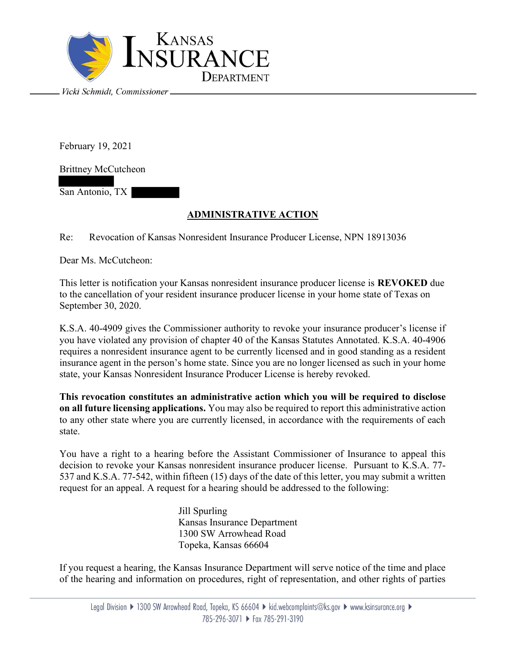

February 19, 2021

Brittney McCutcheon

San Antonio, TX

## ADMINISTRATIVE ACTION

Re: Revocation of Kansas Nonresident Insurance Producer License, NPN 18913036

Dear Ms. McCutcheon:

This letter is notification your Kansas nonresident insurance producer license is REVOKED due to the cancellation of your resident insurance producer license in your home state of Texas on September 30, 2020.

K.S.A. 40-4909 gives the Commissioner authority to revoke your insurance producer's license if you have violated any provision of chapter 40 of the Kansas Statutes Annotated. K.S.A. 40-4906 requires a nonresident insurance agent to be currently licensed and in good standing as a resident insurance agent in the person's home state. Since you are no longer licensed as such in your home state, your Kansas Nonresident Insurance Producer License is hereby revoked.

This revocation constitutes an administrative action which you will be required to disclose on all future licensing applications. You may also be required to report this administrative action to any other state where you are currently licensed, in accordance with the requirements of each state.

You have a right to a hearing before the Assistant Commissioner of Insurance to appeal this decision to revoke your Kansas nonresident insurance producer license. Pursuant to K.S.A. 77- 537 and K.S.A. 77-542, within fifteen (15) days of the date of this letter, you may submit a written request for an appeal. A request for a hearing should be addressed to the following:

> Jill Spurling Kansas Insurance Department 1300 SW Arrowhead Road Topeka, Kansas 66604

If you request a hearing, the Kansas Insurance Department will serve notice of the time and place of the hearing and information on procedures, right of representation, and other rights of parties